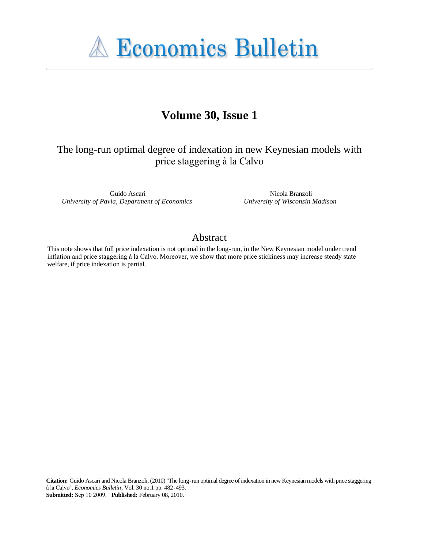**A Economics Bulletin** 

## **Volume 30, Issue 1**

The long-run optimal degree of indexation in new Keynesian models with price staggering à la Calvo

Guido Ascari *University of Pavia, Department of Economics*

Nicola Branzoli *University of Wisconsin Madison*

## Abstract

This note shows that full price indexation is not optimal in the long-run, in the New Keynesian model under trend inflation and price staggering à la Calvo. Moreover, we show that more price stickiness may increase steady state welfare, if price indexation is partial.

**Citation:** Guido Ascari and Nicola Branzoli, (2010) ''The long-run optimal degree of indexation in new Keynesian models with price staggering à la Calvo'', *Economics Bulletin*, Vol. 30 no.1 pp. 482-493. **Submitted:** Sep 10 2009. **Published:** February 08, 2010.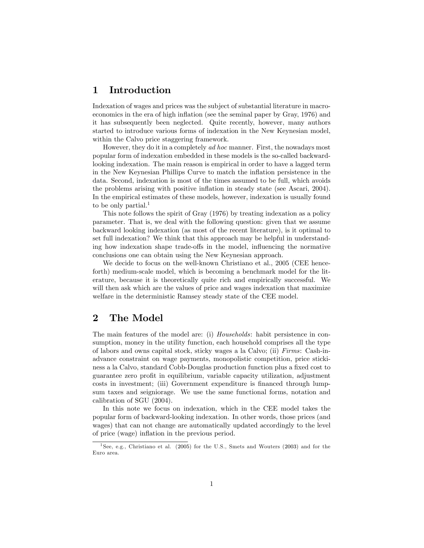### 1 Introduction

Indexation of wages and prices was the subject of substantial literature in macroeconomics in the era of high inflation (see the seminal paper by Gray, 1976) and it has subsequently been neglected. Quite recently, however, many authors started to introduce various forms of indexation in the New Keynesian model, within the Calvo price staggering framework.

However, they do it in a completely ad hoc manner. First, the nowadays most popular form of indexation embedded in these models is the so-called backwardlooking indexation. The main reason is empirical in order to have a lagged term in the New Keynesian Phillips Curve to match the inflation persistence in the data. Second, indexation is most of the times assumed to be full, which avoids the problems arising with positive inflation in steady state (see Ascari, 2004). In the empirical estimates of these models, however, indexation is usually found to be only partial.<sup>1</sup>

This note follows the spirit of Gray (1976) by treating indexation as a policy parameter. That is, we deal with the following question: given that we assume backward looking indexation (as most of the recent literature), is it optimal to set full indexation? We think that this approach may be helpful in understanding how indexation shape trade-offs in the model, influencing the normative conclusions one can obtain using the New Keynesian approach.

We decide to focus on the well-known Christiano et al., 2005 (CEE henceforth) medium-scale model, which is becoming a benchmark model for the literature, because it is theoretically quite rich and empirically successful. We will then ask which are the values of price and wages indexation that maximize welfare in the deterministic Ramsey steady state of the CEE model.

## 2 The Model

The main features of the model are: (i) Households: habit persistence in consumption, money in the utility function, each household comprises all the type of labors and owns capital stock, sticky wages a la Calvo; (ii) Firms: Cash-inadvance constraint on wage payments, monopolistic competition, price stickiness a la Calvo, standard Cobb-Douglas production function plus a fixed cost to guarantee zero proÖt in equilibrium, variable capacity utilization, adjustment costs in investment; (iii) Government expenditure is financed through lumpsum taxes and seigniorage. We use the same functional forms, notation and calibration of SGU (2004).

In this note we focus on indexation, which in the CEE model takes the popular form of backward-looking indexation. In other words, those prices (and wages) that can not change are automatically updated accordingly to the level of price (wage) inflation in the previous period.

<sup>1</sup> See, e.g., Christiano et al. (2005) for the U.S., Smets and Wouters (2003) and for the Euro area.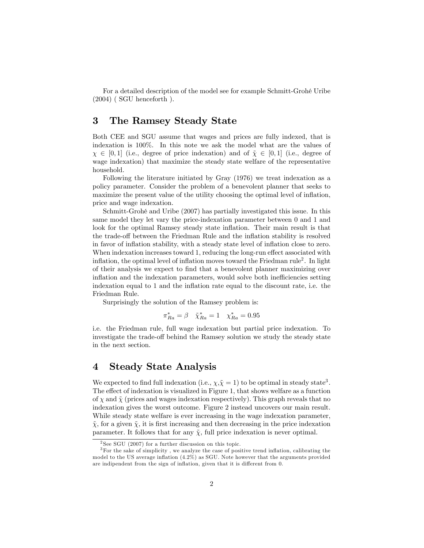For a detailed description of the model see for example Schmitt-Grohé Uribe  $(2004)$  (SGU henceforth).

#### 3 The Ramsey Steady State

Both CEE and SGU assume that wages and prices are fully indexed, that is indexation is 100%. In this note we ask the model what are the values of  $\chi \in [0, 1]$  (i.e., degree of price indexation) and of  $\tilde{\chi} \in [0, 1]$  (i.e., degree of wage indexation) that maximize the steady state welfare of the representative household.

Following the literature initiated by Gray (1976) we treat indexation as a policy parameter. Consider the problem of a benevolent planner that seeks to maximize the present value of the utility choosing the optimal level of inflation, price and wage indexation.

Schmitt-Grohé and Uribe (2007) has partially investigated this issue. In this same model they let vary the price-indexation parameter between 0 and 1 and look for the optimal Ramsey steady state inflation. Their main result is that the trade-off between the Friedman Rule and the inflation stability is resolved in favor of inflation stability, with a steady state level of inflation close to zero. When indexation increases toward 1, reducing the long-run effect associated with inflation, the optimal level of inflation moves toward the Friedman rule<sup>2</sup>. In light of their analysis we expect to Önd that a benevolent planner maximizing over inflation and the indexation parameters, would solve both inefficiencies setting indexation equal to 1 and the inflation rate equal to the discount rate, i.e. the Friedman Rule.

Surprisingly the solution of the Ramsey problem is:

$$
\pi_{Ra}^* = \beta \quad \tilde{\chi}_{Ra}^* = 1 \quad \chi_{Ra}^* = 0.95
$$

i.e. the Friedman rule, full wage indexation but partial price indexation. To investigate the trade-off behind the Ramsey solution we study the steady state in the next section.

#### 4 Steady State Analysis

We expected to find full indexation (i.e.,  $\chi, \tilde{\chi} = 1$ ) to be optimal in steady state<sup>3</sup>. The effect of indexation is visualized in Figure 1, that shows welfare as a function of  $\chi$  and  $\tilde{\chi}$  (prices and wages indexation respectively). This graph reveals that no indexation gives the worst outcome. Figure 2 instead uncovers our main result. While steady state welfare is ever increasing in the wage indexation parameter,  $\tilde{\chi}$ , for a given  $\tilde{\chi}$ , it is first increasing and then decreasing in the price indexation parameter. It follows that for any  $\tilde{\chi}$ , full price indexation is never optimal.

<sup>2</sup> See SGU (2007) for a further discussion on this topic.

 $3$ For the sake of simplicity, we analyze the case of positive trend inflation, calibrating the model to the US average inflation  $(4.2\%)$  as SGU. Note however that the arguments provided are indipendent from the sign of inflation, given that it is different from 0.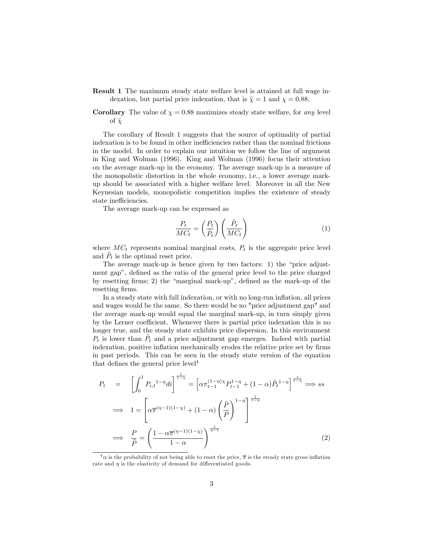- Result 1 The maximum steady state welfare level is attained at full wage indexation, but partial price indexation, that is  $\tilde{\chi} = 1$  and  $\chi = 0.88$ .
- **Corollary** The value of  $\chi = 0.88$  maximizes steady state welfare, for any level of  $\tilde{\chi}$

The corollary of Result 1 suggests that the source of optimality of partial indexation is to be found in other inefficiencies rather than the nominal frictions in the model. In order to explain our intuition we follow the line of argument in King and Wolman (1996). King and Wolman (1996) focus their attention on the average mark-up in the economy. The average mark-up is a measure of the monopolistic distortion in the whole economy, i.e., a lower average markup should be associated with a higher welfare level. Moreover in all the New Keynesian models, monopolistic competition implies the existence of steady state inefficiencies.

The average mark-up can be expressed as

$$
\frac{P_t}{MC_t} = \left(\frac{P_t}{\tilde{P}_t}\right) \left(\frac{\tilde{P}_t}{MC_t}\right) \tag{1}
$$

where  $MC_t$  represents nominal marginal costs,  $P_t$  is the aggregate price level and  $\tilde{P}_t$  is the optimal reset price.

The average mark-up is hence given by two factors: 1) the "price adjustment gap", defined as the ratio of the general price level to the price charged by resetting firms; 2) the "marginal mark-up", defined as the mark-up of the resetting firms.

In a steady state with full indexation, or with no long-run ináation, all prices and wages would be the same. So there would be no "price adjustment gap" and the average mark-up would equal the marginal mark-up, in turn simply given by the Lerner coefficient. Whenever there is partial price indexation this is no longer true, and the steady state exhibits price dispersion. In this environment  $P_t$  is lower than  $\tilde{P}_t$  and a price adjustment gap emerges. Indeed with partial indexation, positive inflation mechanically erodes the relative price set by firms in past periods. This can be seen in the steady state version of the equation that defines the general price level<sup>4</sup>

$$
P_t = \left[ \int_0^1 P_{i,t}^{1-\eta} dt \right]^{\frac{1}{1-\eta}} = \left[ \alpha \pi_{t-1}^{(1-\eta)} \chi P_{t-1}^{1-\eta} + (1-\alpha) \tilde{P}_t^{1-\eta} \right]^{\frac{1}{1-\eta}} \Longrightarrow ss
$$

$$
\implies 1 = \left[ \alpha \overline{\pi}^{(\eta-1)(1-\chi)} + (1-\alpha) \left( \frac{\tilde{P}}{P} \right)^{1-\eta} \right]^{\frac{1}{1-\eta}}
$$

$$
\implies \frac{P}{\tilde{P}} = \left( \frac{1 - \alpha \overline{\pi}^{(\eta-1)(1-\chi)}}{1-\alpha} \right)^{\frac{1}{\eta-1}}
$$
(2)

 $\frac{4}{9}$  as the probability of not being able to reset the price,  $\bar{\pi}$  is the steady state gross inflation rate and  $\eta$  is the elasticity of demand for differentiated goods.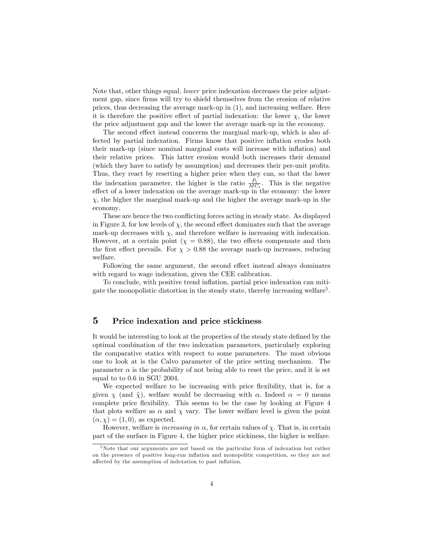Note that, other things equal, lower price indexation decreases the price adjustment gap, since firms will try to shield themselves from the erosion of relative prices, thus decreasing the average mark-up in (1), and increasing welfare. Here it is therefore the positive effect of partial indexation: the lower  $\chi$ , the lower the price adjustment gap and the lower the average mark-up in the economy.

The second effect instead concerns the marginal mark-up, which is also affected by partial indexation. Firms know that positive inflation erodes both their mark-up (since nominal marginal costs will increase with inflation) and their relative prices. This latter erosion would both increases their demand (which they have to satisfy by assumption) and decreases their per-unit profits. Thus, they react by resetting a higher price when they can, so that the lower the indexation parameter, the higher is the ratio  $\frac{\tilde{P}_t}{MC_t}$ . This is the negative effect of a lower indexation on the average mark-up in the economy: the lower  $\chi$ , the higher the marginal mark-up and the higher the average mark-up in the economy:

These are hence the two conflicting forces acting in steady state. As displayed in Figure 3, for low levels of  $\chi$ , the second effect dominates such that the average mark-up decreases with  $\chi$ , and therefore welfare is increasing with indexation. However, at a certain point ( $\chi = 0.88$ ), the two effects compensate and then the first effect prevails. For  $\chi > 0.88$  the average mark-up increases, reducing welfare:

Following the same argument, the second effect instead always dominates with regard to wage indexation, given the CEE calibration.

To conclude, with positive trend inflation, partial price indexation can mitigate the monopolistic distortion in the steady state, thereby increasing welfare<sup>5</sup>.

#### 5 Price indexation and price stickiness

It would be interesting to look at the properties of the steady state defined by the optimal combination of the two indexation parameters, particularly exploring the comparative statics with respect to some parameters. The most obvious one to look at is the Calvo parameter of the price setting mechanism. The parameter  $\alpha$  is the probability of not being able to reset the price, and it is set equal to to 0.6 in SGU 2004.

We expected welfare to be increasing with price flexibility, that is, for a given  $\chi$  (and  $\tilde{\chi}$ ), welfare would be decreasing with  $\alpha$ . Indeed  $\alpha = 0$  means complete price flexibility. This seems to be the case by looking at Figure 4 that plots welfare as  $\alpha$  and  $\chi$  vary. The lower welfare level is given the point  $(\alpha, \chi) = (1, 0)$ , as expected.

However, welfare is *increasing in*  $\alpha$ , for certain values of  $\chi$ . That is, in certain part of the surface in Figure 4, the higher price stickiness, the higher is welfare.

<sup>5</sup>Note that our arguments are not based on the particular form of indexation but rather on the presence of positive long-run ináation and monopolitic competition, so they are not affected by the assumption of indexation to past inflation.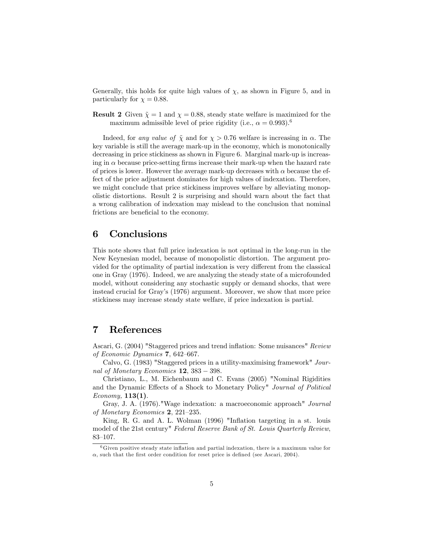Generally, this holds for quite high values of  $\chi$ , as shown in Figure 5, and in particularly for  $\chi = 0.88$ .

**Result 2** Given  $\tilde{\chi} = 1$  and  $\chi = 0.88$ , steady state welfare is maximized for the maximum admissible level of price rigidity (i.e.,  $\alpha = 0.993$ ).<sup>6</sup>

Indeed, for any value of  $\tilde{\chi}$  and for  $\chi > 0.76$  welfare is increasing in  $\alpha$ . The key variable is still the average mark-up in the economy, which is monotonically decreasing in price stickiness as shown in Figure 6. Marginal mark-up is increasing in  $\alpha$  because price-setting firms increase their mark-up when the hazard rate of prices is lower. However the average mark-up decreases with  $\alpha$  because the effect of the price adjustment dominates for high values of indexation. Therefore, we might conclude that price stickiness improves welfare by alleviating monopolistic distortions. Result 2 is surprising and should warn about the fact that a wrong calibration of indexation may mislead to the conclusion that nominal frictions are beneficial to the economy.

#### 6 Conclusions

This note shows that full price indexation is not optimal in the long-run in the New Keynesian model, because of monopolistic distortion. The argument provided for the optimality of partial indexation is very different from the classical one in Gray (1976). Indeed, we are analyzing the steady state of a microfounded model, without considering any stochastic supply or demand shocks, that were instead crucial for Grayís (1976) argument. Moreover, we show that more price stickiness may increase steady state welfare, if price indexation is partial.

#### 7 References

Ascari, G. (2004) "Staggered prices and trend inflation: Some nuisances" Review of Economic Dynamics  $7,642-667$ .

Calvo, G. (1983) "Staggered prices in a utility-maximising framework" Journal of Monetary Economics  $12$ ,  $383 - 398$ .

Christiano, L., M. Eichenbaum and C. Evans (2005) "Nominal Rigidities and the Dynamic Effects of a Shock to Monetary Policy" Journal of Political  $Economy, 113(1).$ 

Gray, J. A. (1976)."Wage indexation: a macroeconomic approach" Journal of Monetary Economics  $2, 221-235$ .

King, R. G. and A. L. Wolman (1996) "Inflation targeting in a st. louis model of the 21st century" Federal Reserve Bank of St. Louis Quarterly Review, 83-107.

 $6$ Given positive steady state inflation and partial indexation, there is a maximum value for  $\alpha$ , such that the first order condition for reset price is defined (see Ascari, 2004).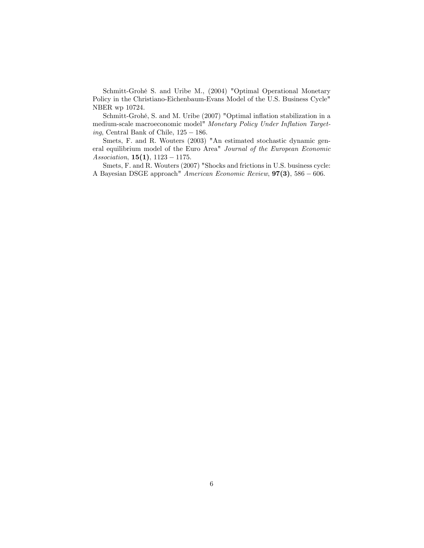Schmitt-Grohé S. and Uribe M., (2004) "Optimal Operational Monetary Policy in the Christiano-Eichenbaum-Evans Model of the U.S. Business Cycle" NBER wp 10724.

Schmitt-Grohé, S. and M. Uribe (2007) "Optimal inflation stabilization in a medium-scale macroeconomic model" Monetary Policy Under Inflation Targeting, Central Bank of Chile,  $125 - 186$ .

Smets, F. and R. Wouters (2003) "An estimated stochastic dynamic general equilibrium model of the Euro Area" Journal of the European Economic Association,  $15(1)$ ,  $1123 - 1175$ .

Smets, F. and R. Wouters (2007) "Shocks and frictions in U.S. business cycle: A Bayesian DSGE approach" American Economic Review,  $97(3)$ , 586 – 606.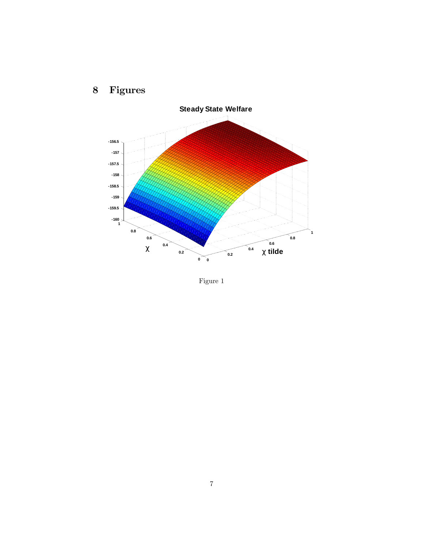

# 8 Figures

Figure 1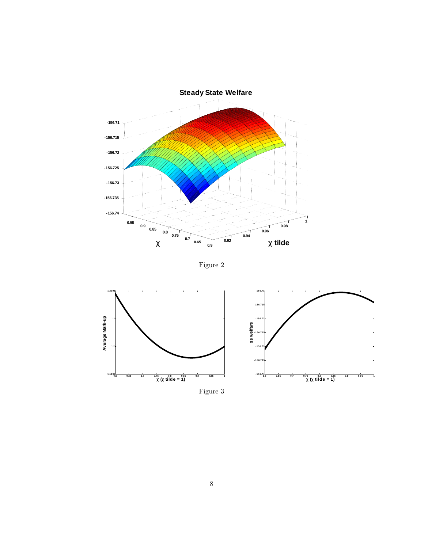

Figure 2



Figure 3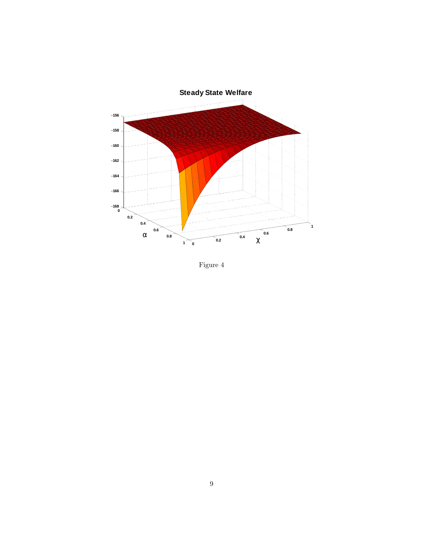

Figure 4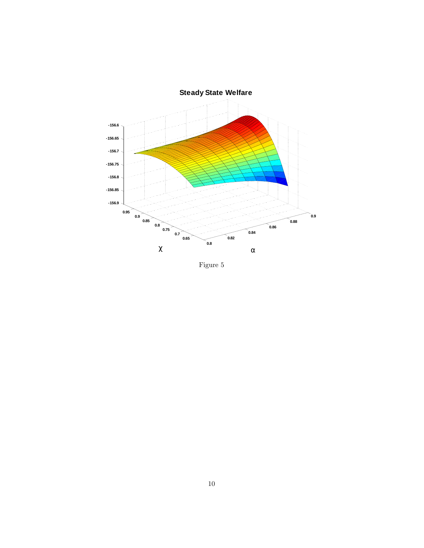

Figure 5